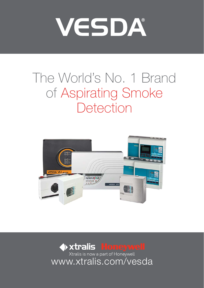# VESDA®

# The World's No. 1 Brand of Aspirating Smoke **Detection**



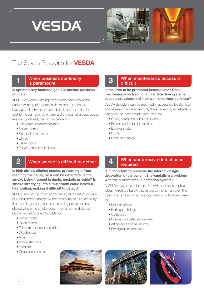



# The Seven Reasons for VESDA

#### **1** When business continuity is paramount

#### **Is uptime a key business goal? Is service provision critical?**

VESDA very early warning smoke detectors provide the earliest warning of a potential fire which buys time to investigate, intervene and avoid business disruption in addition to damage, downtime and the cost of a suppression release. Such early warning is critical for:

- Telecommunications facilities
- Server rooms
- Financial data centers
- Utilities
- Clean rooms
- Power generation facilities

#### **2** When smoke is difficult to detect

**Is high airflow diluting smoke, preventing it from reaching the ceiling so it can be detected? Is the smoke being trapped in ducts, pockets or voids? Is smoke stratifying into a mushroom cloud below a high ceiling, making it difficult to detect?** 

VESDA sampling points can be placed at the return air grille or in equipment cabinets to detect smoke as it is carried by the air. In large, open spaces, sampling points can be placed where the smoke goes — often some distance below the ceiling level. Suitable for:

- Server rooms
- Clean rooms
- Telecommunications facilities
- Warehouses
- Atria
- Indoor stadiums
- Theaters
- Convention centers

#### **3** When maintenance access is difficult

**Is the area to be protected inaccessible? Does maintenance on traditional fire detection systems cause disruptions and inconvenience your business?** 

VESDA detectors can be mounted in accessible locations to enable easy maintenance. Only the sampling pipe network is placed in the inaccessible area. Ideal for:

• Ceiling voids and sub-floor spaces

- Prisons and detention facilities
- Elevator shafts
- Ducts
- Production areas

#### **4** When unobtrusive detection is required

#### **Is it important to preserve the internal design/ decoration of the building? Is vandalism a problem with the current smoke detection system?**

A VESDA system can be installed with capillary sampling tubes, which are barely discernible to the human eye. The detectors can be placed in a cupboard or utility area. Great for:

- Modern offices
- Heritage buildings
- Cathedrals
- Prisons and detention centers
- Art galleries and museums
- Prestigious residences





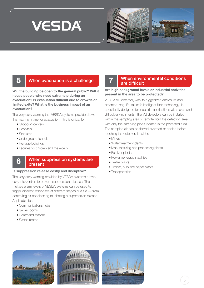





#### **5** When evacuation is a challenge

**Will the building be open to the general public? Will it house people who need extra help during an evacuation? Is evacuation difficult due to crowds or limited exits? What is the business impact of an evacuation?** 

The very early warning that VESDA systems provide allows the maximum time for evacuation. This is critical for:

- Shopping centers
- Hospitals
- Stadiums
- Underground tunnels
- Heritage buildings
- Facilities for children and the elderly

#### **6** When suppression systems are present

#### **Is suppression release costly and disruptive?**

The very early warning provided by VESDA systems allows early intervention to prevent suppression releases. The multiple alarm levels of VESDA systems can be used to trigger different responses at different stages of a fire — from controlling air conditioning to initiating a suppression release. Applicable for:

- Communications hubs
- Server rooms
- Command stations
- Switch rooms

#### **7** When environmental conditions are difficult

#### **Are high background levels or industrial activities present in the area to be protected?**

VESDA VLI detector, with its ruggedized enclosure and patented long-life, fail-safe intelligent filter technology, is specifically designed for industrial applications with harsh and difficult environments. The VLI detectors can be installed within the sampling area or remote from the detection area with only the sampling pipes located in the protected area. The sampled air can be filtered, warmed or cooled before reaching the detector. Ideal for:

- Mines
- Water treatment plants
- Manufacturing and processing plants
- Fertilizer plants
- Power generation facilities
- Textile plants
- Timber, pulp and paper plants
- Transportation





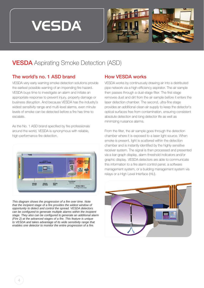



# **VESDA** Aspirating Smoke Detection (ASD)

#### The world's no. 1 ASD brand

VESDA very early warning smoke detection solutions provide the earliest possible warning of an impending fire hazard. VESDA buys time to investigate an alarm and initiate an appropriate response to prevent injury, property damage or business disruption. And because VESDA has the industry's widest sensitivity range and multi-level alarms, even minute levels of smoke can be detected before a fire has time to escalate.

As the No. 1 ASD brand specified by fire professionals around the world, VESDA is synonymous with reliable, high-performance fire detection.



*This diagram shows the progression of a fire over time. Note that the incipient stage of a fire provides the widest window of opportunity to detect and control the spread. VESDA detectors can be configured to generate multiple alarms within the incipient stage. They also can be configured to generate an additional alarm (Fire 2) at the advanced stages of a fire. This feature is unique to VESDA and takes advantage of its wide sensitivity range that enables one detector to monitor the entire progression of a fire.*

#### How VESDA works

VESDA works by continuously drawing air into a distributed pipe network via a high-efficiency aspirator. The air sample then passes through a dual-stage filter. The first stage removes dust and dirt from the air sample before it enters the laser detection chamber. The second, ultra-fine stage provides an additional clean-air supply to keep the detector's optical surfaces free from contamination, ensuring consistent absolute detection and long detector life as well as minimizing nuisance alarms.

From the filter, the air sample goes through the detection chamber where it is exposed to a laser light source. When smoke is present, light is scattered within the detection chamber and is instantly identified by the highly sensitive receiver system. The signal is then processed and presented via a bar-graph display, alarm threshold indicators and/or graphic display. VESDA detectors are able to communicate this information to a fire alarm control panel, a software management system, or a building management system via relays or a High Level Interface (HLI).

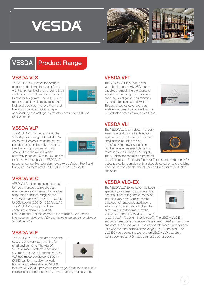





# VESDA **Product Range**

# VESDA VLS

The VESDA VLS locates the origin of smoke by identifying the sector (pipe) with the highest level of smoke and then continues to sample air from all sectors to monitor fire growth. The VESDA VLS also provides four alarm levels for each individual pipe (Alert, Action, Fire 1 and Fire 2) and provides individual pipe



addressability and settings. It protects areas up to 2,000 m2 (21,520 sq. ft.).

### VESDA VLP

The VESDA VLP is the flagship in the VESDA product range. Like all VESDA detectors, it detects fire at the earliest possible stage and reliably measures very low to high concentrations of smoke. It has the world's widest sensitivity range of 0.005 to 20% obs/m (0.0016 - 6.25% obs/ft ). VESDA VLP



supports four configurable alarm levels (Alert, Action, Fire 1 and Fire 2) and protects areas up to  $2,000$  m<sup>2</sup> ( $21,520$  sq. ft.).

### **VESDA VLC**

VESDA VLC offers protection for small to medium areas that require costeffective very early warning. It offers the same wide sensitivity range as the VESDA VLP and VESDA VLS — 0.005 to 20% obs/m (0.0016 - 6.25% obs/ft). The VESDA VLC supports three configurable alarm levels (Alert,



Pre-Alarm and Fire) and comes in two versions. One version interfaces via relays only (RO) and the other across either relays or VESDAnet (VN).

#### VESDA VLF

The VESDA VLF delivers advanced and cost-effective very early warning for small environments. The VESDA VLF-250 model protects areas up to 250 m2 (2,690 sq. ft.), and the VESDA VLF-500 model covers up to 500 m2 (5,380 sq. ft.). In addition to world leading and well-established VESDA



features VESDA VLF provides a new range of features and built-in intelligence for quick installation, commissioning and servicing.

# VESDA VFT

The VESDA VFT is a unique and versatile high-sensitivity ASD that is capable of pinpointing the source of incipient smoke to speed response, enhance investigation, and minimize business disruption and downtime. This advanced detector provides intelligent addressibility to identify up to 15 protected areas via microbore tubes.



# VESDA VLI

The VESDA VLI is an industry first early warning aspirating smoke detection system, designed to protect industrial applications including mining, manufacturing, power generation facilities, waste treatment plants and more up to 2,000 m<sup>2</sup> (21,520 sq. ft.). The VLI detector combines a patented



fail-safe Intelligent Filter with Clean Air Zero and clean-air barrier for optics protection complementing absolute detection and providing longer detection chamber life all enclosed in a robust IP66-rated enclosure.

### **VESDA VLC-FX**

The VESDA VLC-EX detector has been specifically designed to provide all the benefits of aspirating smoke detection, including very early warning, for the protection of hazardous applications with Zone 2 classification. It offers the same wide sensitivity range as the VESDA VLP and VESDA VLS — 0.005



to 20% obs/m (0.0016 - 6.25% obs/ft). The VESDA VLC-EX supports three configurable alarm levels (Alert, Pre-Alarm and Fire) and comes in two versions. One version interfaces via relays only (RO) and the other across either relays or VESDAnet (VN). The VLC-EX incorporates the well-proven VESDA VLP detection technology into an IP54 rated stainless steel enclosure.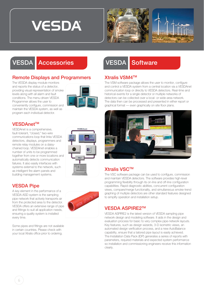





# VESDA **Accessories** VESDA Software

#### **Remote Displays and Programmers**

The VESDA display module monitors and reports the status of a detector, providing visual representation of smoke levels along with all alarm and fault conditions. The menu-driven VESDA Programmer allows the user to conveniently configure, commission and maintain the VESDA system, as well as program each individual detector.



#### **VESDAnet™**

VESDAnet is a comprehensive, fault-tolerant, "closed," two-wire communications loop that links VESDA detectors, displays, programmers and remote relay modules on a daisychained loop. VESDAnet enables a number of units to be programmed together from one or more locations and automatically detects communication failures. It also easily interfaces with systems external to the network, such as intelligent fire alarm panels and building management systems.

### VESDA Pipe

A key element in the performance of a VESDA ASD system is the sampling pipe network that actively transports air from the protected area to the detector. VESDA offers an extensive range of pipe and fittings to suit all application needs, ensuring a quality system is installed every time.

Some pipes and fittings are not available in certain countries. Please check with your local Xtralis office prior to ordering.



VESDA ASDIPATIVO S



#### Xtralis VSM4™

The VSM software package allows the user to monitor, configure and control a VESDA system from a central location via a VESDAnet communication loop or directly to VESDA detectors. Real-time and historical events for a single detector or multiple networks of detectors can be collected over a local- or wide-area network. The data then can be processed and presented in either report or graphical format — even graphically on site floor plans.



### Xtralis VSC™

The VSC software package can be used to configure, commission and maintain VESDA detectors. The software provides high-level programming flexibility through its on-line and off-line configuration capabilities. Rapid diagnostic abilities, concurrent configuration views, compare/merge functionality, and simultaneous smoke-trend graphing of multiple detectors are other standard features designed to simplify operation and installation setup.

#### **VESDA ASPIRE2™**

VESDA ASPIRE2 is the latest version of VESDA sampling pipe network design and modeling software. It aids in the design and evaluation process for basic to very complex pipe-network layouts. Key features, such as design wizards, 3-D isometric views, an automated design verification process, and a new AutoBalance capability, ensure that a tailored pipe layout is easily achieved. The Installation Data Pack (IDP) generates a series of reports with parameters, required materials and expected system performance so installation and commissioning engineers receive this information clearly.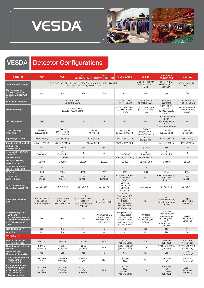





# VESDA **Detector Configurations**

| <b>Features</b>                                                                                                                  | <b>VLP</b>                                                                                                 | <b>VLS</b>                                                   | <b>VLC</b><br><b>VESDAnet (VN)</b>                                        | <b>VLC</b><br><b>Relays Only (RO)</b>                            | <b>VLF 250/500</b>                                                                                                  | <b>VFT-15</b>                                            | <b>Industrial</b><br><b>VESDA VLI</b>                                                                         | <b>VLC-EX</b>                                       |
|----------------------------------------------------------------------------------------------------------------------------------|------------------------------------------------------------------------------------------------------------|--------------------------------------------------------------|---------------------------------------------------------------------------|------------------------------------------------------------------|---------------------------------------------------------------------------------------------------------------------|----------------------------------------------------------|---------------------------------------------------------------------------------------------------------------|-----------------------------------------------------|
| <b>Worldwide Certificates</b>                                                                                                    | LPCB, VdS, AFNOR, UL, ULC, UL268A (in-duct application), FM, NY-MEA,<br>CSFM, ActivFire, CCCF, VNIIPO, CPR |                                                              |                                                                           |                                                                  |                                                                                                                     | VdS, UL, ULC, FM,<br>AFNOR, VNIIPO,<br><b>CPR</b>        | UL, ULC, FM,<br>ActivFire, LPCB,<br>VdS, CPR                                                                  | ATEX, IECEx, UL,<br>FM, CPR                         |
| <b>Hazardous Area</b><br><b>Approval (FM Class</b><br>1, Div 2, Groups A, B,<br>C, D)                                            | Yes                                                                                                        | No                                                           | Yes                                                                       | Yes                                                              | Yes                                                                                                                 | <b>No</b>                                                | Yes                                                                                                           | Yes                                                 |
| Min Fire 1 Threshold                                                                                                             | 0.015% obs/m<br>$(0.0046\%$ obs/ft)                                                                        |                                                              |                                                                           |                                                                  | 0.025% obs/m<br>$(0.008\%$ obs/ft)                                                                                  | $0.01\%$ obs/m<br>$(0.0031\%$ obs/ft)                    | $0.15\%/m$<br>$(0.046\%/ft)$                                                                                  | 0.015% obs/m<br>$(0.0046\%$ obs/ft)                 |
| <b>Detection Range</b>                                                                                                           | 0.005 - 20% obs/m<br>$(0.0016 - 6.25\%$ obs/ft)                                                            |                                                              |                                                                           |                                                                  | 0.025 - 20% obs/m<br>$(0.008 - 6.25%)$<br>obs/ft)                                                                   | 0.001 - 20% obs/m<br>$(0.0003 - 6.25%)$<br>obs/ft)       | $0.005 - 20.0\%$<br>obs/m<br>$(0.0016 - 6.25%)$<br>obs/ft)                                                    | 0.005 - 20% obs/m<br>$(0.0016 - 6.25\%)$<br>obs/ft) |
| <b>Two Stage Filter</b>                                                                                                          | Yes                                                                                                        | Yes                                                          | Yes                                                                       | Yes                                                              | Yes                                                                                                                 | Yes                                                      | Patented Intelligent<br>Filter<br>Secondary Foam<br>Filter<br>Sub-sampling Probe                              | Yes                                                 |
| <b>Area Coverage</b><br>(Maximum)                                                                                                | $2.000 \text{ m}^2$<br>$(21,520$ sq. ft)                                                                   | $2,000 \text{ m}^2$<br>$(21,520$ sq. ft)<br>across 4 sectors | 800 m <sup>2</sup><br>$(8,610$ sq. ft)                                    |                                                                  | 250/500 m <sup>2</sup><br>$(2,690/5,380$ sq. ft)                                                                    | 1,500 $m2$<br>$(16, 140$ sq. ft)<br>across 15 sectors    | $2,000 \text{ m}^2$<br>$(21,520$ sq. ft)                                                                      | 800 m <sup>2</sup><br>$(8,610$ sq.ft)               |
| Pipe Length (Linear)                                                                                                             | 200 m (656 ft)                                                                                             | 200 m (656 ft)                                               | 80 m (262 ft)                                                             |                                                                  | 25/50 m (82/164 ft)                                                                                                 | $15 \times 50$ m<br>$(45 \times 164$ ft)                 | 360 m (1,181 ft)                                                                                              | 80 m (262 ft)                                       |
| <b>Pipe Length (Branched)</b>                                                                                                    | 400 m (1,312 ft)                                                                                           | 400 m (1,312 ft)                                             |                                                                           | 100 m (328 ft)                                                   | 30/60 m (98/197 ft)                                                                                                 | N/A                                                      | 445 m (1,460 ft)                                                                                              | 100 m (328 ft)                                      |
| <b>Multiple Pipe</b><br><b>Addressability</b>                                                                                    | No                                                                                                         | Up to 4                                                      | <b>No</b>                                                                 | <b>No</b>                                                        | <b>No</b>                                                                                                           | Up to 15                                                 | <b>No</b>                                                                                                     | No                                                  |
| <b>Total Number of Alarm</b><br><b>Thresholds</b>                                                                                | $\overline{4}$<br>(Day/Night)                                                                              | 16<br>(Day/Night)                                            | 3                                                                         | 3                                                                | 4<br>(Day/Night)                                                                                                    | 60<br>(Day/Night)                                        | $\overline{4}$<br>(Day/Night)                                                                                 | 3                                                   |
| <b>Relay Outputs</b>                                                                                                             | $\overline{7}$                                                                                             | 7 or 12 relays                                               | 3                                                                         | 3                                                                |                                                                                                                     | 3 (Expandable to 6) 5 (Expandable to 21)                 | 5                                                                                                             | $\mathbf{3}$                                        |
| <b>On-board Memorv</b><br>(Max. Events)                                                                                          | 18,000                                                                                                     | 18,000                                                       | 12,000                                                                    | 12,000                                                           | 18,000                                                                                                              | Up to 20,000                                             | 18,000                                                                                                        | 12,000                                              |
| <b>Flow Sensor Circuit</b><br>(one per pipe inlet)                                                                               | $\overline{4}$                                                                                             | $\overline{4}$                                               | $\mathbf{1}$                                                              | $\mathbf{1}$                                                     | $\mathbf{1}$                                                                                                        | 15                                                       | $\overline{4}$                                                                                                | $\mathbf{1}$                                        |
| <b>IP Rating</b>                                                                                                                 | IP30                                                                                                       | <b>IP30</b>                                                  | IP30                                                                      | IP30                                                             | IP30                                                                                                                | IP30                                                     | <b>IP66</b>                                                                                                   | <b>IP54</b>                                         |
| AutoLearn™<br>(Smoke/Flow)                                                                                                       | Yes<br>(Smoke)                                                                                             | Yes<br>(Smoke)                                               | Yes<br>(Smoke)                                                            | Yes<br>(Smoke)                                                   | AutoLearn Smoke™<br>AutoLearn<br><b>Flow™</b>                                                                       | <b>No</b>                                                | AutoLearn Smoke™<br>AutoLearn<br><b>Flow™</b>                                                                 | Yes<br>(Smoke)                                      |
| EN54-20 Max. no of<br>Holes (Class A / B / C)                                                                                    | 30 / 60 / 100                                                                                              | 40 / 40 / 60                                                 | 30/36/40                                                                  | 30/36/40                                                         | <b>VLF 250</b><br>$12/12/12$ ;<br><b>VLF 500</b><br>30/30/30                                                        | 15/15/15                                                 | 24 / 28 / 60                                                                                                  | 30/36/40                                            |
| <b>Bar Graph/Indicator</b><br><b>LED</b>                                                                                         | Local or Remote<br>(20 segment<br>bargraph display)                                                        | Local or Remote<br>(20 segment<br>bargraph display)          | Local<br>(5 on-board LEDs).<br>Remote (20<br>segment bargraph<br>display) | Local<br>(5 on-board LEDs)                                       | Local<br>(7 on-board LEDs<br>10 Segment Circular<br>Display)<br>Remote display<br>when fitted with<br>VESDAnet card | Yes                                                      | Local<br>(5 on-board LEDs)<br>Remote display for<br><b>VLI-885</b>                                            | As per<br>VLC (VN) &<br>VLC (RO)                    |
| <b>Programming Tools</b><br>- On-board<br><b>Programming module</b><br><b>Handheld Programmer</b><br>- PC Software (VSC,<br>VSM) | Yes                                                                                                        | Yes                                                          | Yes                                                                       | Programmed via<br>RS232 direct<br>connection to PC<br>using VSC™ | Programmed via<br>RS232 direct<br>connection to PC<br>using VSC™ or<br>Programmer when<br>VN card is fitted         | On-board<br>programmer and<br>PC Software (VSC/<br>VSM4) | Local USB<br>configuration port<br>Connection to<br>PC using VSC/<br>VSM4<br>Programmer for<br><b>VLI-885</b> | As per<br>VLC (VN) &<br>VLC (RO)                    |
| <b>StaX Expandability</b>                                                                                                        | <b>No</b>                                                                                                  | <b>No</b>                                                    | No                                                                        | No                                                               | No                                                                                                                  | <b>No</b>                                                | <b>No</b>                                                                                                     | No                                                  |
| Analytics                                                                                                                        | No                                                                                                         | No                                                           | No                                                                        | No                                                               | No                                                                                                                  | No                                                       | No                                                                                                            | No                                                  |
| VESDAnet™                                                                                                                        |                                                                                                            |                                                              |                                                                           |                                                                  |                                                                                                                     |                                                          |                                                                                                               |                                                     |
| Max. No. of devices/<br>detectors per loop                                                                                       | 200 / 100                                                                                                  | 200 / 100                                                    | 200 / 100                                                                 | N/A                                                              | 200 / 100<br>(with VN Card)                                                                                         | N/A                                                      | 200 / 100<br>(VLI-885)                                                                                        | 200 / 100<br>(VN version)                           |
| Max. Distance between<br><b>Devices</b>                                                                                          | 1,300 m<br>$(4,265 \text{ ft})$                                                                            | 1,300 m<br>$(4,265 \text{ ft})$                              | 1,300 m<br>$(4,265 \text{ ft})$                                           | N/A                                                              | 1,300 m (4,265 ft)<br>(with VN Card)                                                                                | N/A                                                      | 1,300 m (4,265 ft)<br>(VLI-885)                                                                               | 1,300 m (4,265 ft)<br>(VN version)                  |
| <b>Computer-based</b><br><b>Management via VSM</b>                                                                               | Yes                                                                                                        | Yes                                                          | Yes                                                                       | No                                                               | Yes                                                                                                                 | Yes                                                      | Yes                                                                                                           | Yes<br>(VN version)                                 |
| <b>Remote Relay Modules</b><br>- 7 relay version<br>- 12 relay version                                                           | <b>VRT-500</b><br>N/A                                                                                      | VRT-E00<br><b>VRT-900</b>                                    | <b>VRT-500</b><br>N/A                                                     | N/A                                                              | <b>VRT-500</b><br>N/A                                                                                               | N/A                                                      | <b>VRT-500</b><br>N/A                                                                                         | <b>VRT-500</b><br>(VN version)                      |
| <b>Compatible Remote</b><br><b>Bargraph Displays</b><br>- Display, 7 relays<br>- Display, 12 relays<br>- Display, no relays      | <b>VRT-200</b><br>N/A<br><b>VRT-600</b>                                                                    | <b>VRT-400</b><br><b>VRT-800</b><br><b>VRT-700</b>           | <b>VRT-J00</b><br>N/A<br><b>VRT-K00</b>                                   | N/A                                                              | VRT-V00<br>N/A<br>VRT-W00<br>(with VN Card)                                                                         | N/A                                                      | VRT-Q00<br>N/A<br>VRT-T00<br>(VLI-885)                                                                        | As per<br>VLC (VN) &<br>VLC (RO)                    |